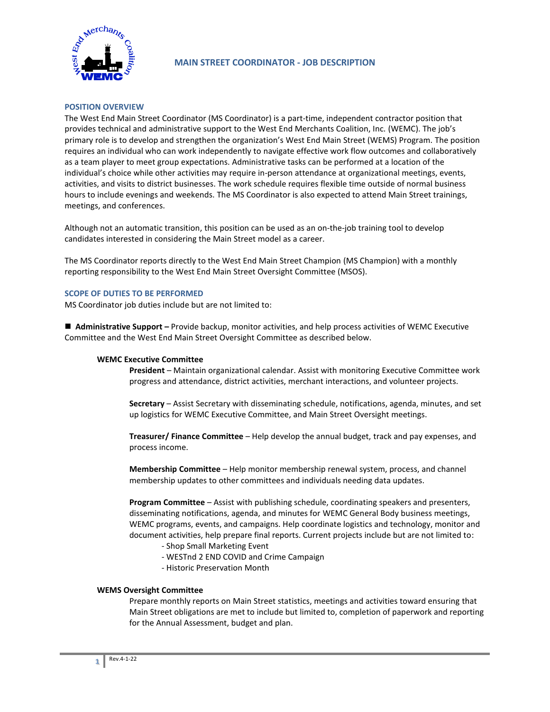

# **MAIN STREET COORDINATOR - JOB DESCRIPTION**

## **POSITION OVERVIEW**

The West End Main Street Coordinator (MS Coordinator) is a part-time, independent contractor position that provides technical and administrative support to the West End Merchants Coalition, Inc. (WEMC). The job's primary role is to develop and strengthen the organization's West End Main Street (WEMS) Program. The position requires an individual who can work independently to navigate effective work flow outcomes and collaboratively as a team player to meet group expectations. Administrative tasks can be performed at a location of the individual's choice while other activities may require in-person attendance at organizational meetings, events, activities, and visits to district businesses. The work schedule requires flexible time outside of normal business hours to include evenings and weekends. The MS Coordinator is also expected to attend Main Street trainings, meetings, and conferences.

Although not an automatic transition, this position can be used as an on-the-job training tool to develop candidates interested in considering the Main Street model as a career.

The MS Coordinator reports directly to the West End Main Street Champion (MS Champion) with a monthly reporting responsibility to the West End Main Street Oversight Committee (MSOS).

#### **SCOPE OF DUTIES TO BE PERFORMED**

MS Coordinator job duties include but are not limited to:

■ **Administrative Support** – Provide backup, monitor activities, and help process activities of WEMC Executive Committee and the West End Main Street Oversight Committee as described below.

#### **WEMC Executive Committee**

**President** – Maintain organizational calendar. Assist with monitoring Executive Committee work progress and attendance, district activities, merchant interactions, and volunteer projects.

**Secretary** – Assist Secretary with disseminating schedule, notifications, agenda, minutes, and set up logistics for WEMC Executive Committee, and Main Street Oversight meetings.

**Treasurer/ Finance Committee** – Help develop the annual budget, track and pay expenses, and process income.

**Membership Committee** – Help monitor membership renewal system, process, and channel membership updates to other committees and individuals needing data updates.

**Program Committee** – Assist with publishing schedule, coordinating speakers and presenters, disseminating notifications, agenda, and minutes for WEMC General Body business meetings, WEMC programs, events, and campaigns. Help coordinate logistics and technology, monitor and document activities, help prepare final reports. Current projects include but are not limited to:

- Shop Small Marketing Event
- WESTnd 2 END COVID and Crime Campaign
- Historic Preservation Month

#### **WEMS Oversight Committee**

Prepare monthly reports on Main Street statistics, meetings and activities toward ensuring that Main Street obligations are met to include but limited to, completion of paperwork and reporting for the Annual Assessment, budget and plan.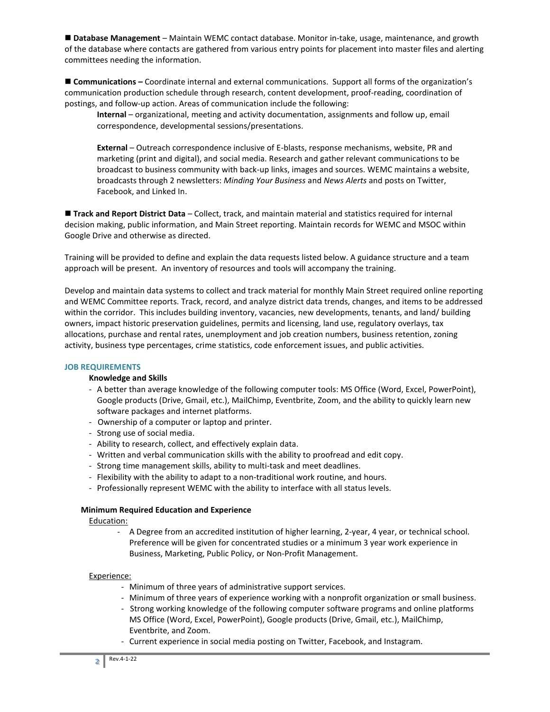**Database Management** – Maintain WEMC contact database. Monitor in-take, usage, maintenance, and growth of the database where contacts are gathered from various entry points for placement into master files and alerting committees needing the information.

 **Communications –** Coordinate internal and external communications. Support all forms of the organization's communication production schedule through research, content development, proof-reading, coordination of postings, and follow-up action. Areas of communication include the following:

**Internal** – organizational, meeting and activity documentation, assignments and follow up, email correspondence, developmental sessions/presentations.

**External** – Outreach correspondence inclusive of E-blasts, response mechanisms, website, PR and marketing (print and digital), and social media. Research and gather relevant communications to be broadcast to business community with back-up links, images and sources. WEMC maintains a website, broadcasts through 2 newsletters: *Minding Your Business* and *News Alerts* and posts on Twitter, Facebook, and Linked In.

 **Track and Report District Data** – Collect, track, and maintain material and statistics required for internal decision making, public information, and Main Street reporting. Maintain records for WEMC and MSOC within Google Drive and otherwise as directed.

Training will be provided to define and explain the data requests listed below. A guidance structure and a team approach will be present. An inventory of resources and tools will accompany the training.

Develop and maintain data systems to collect and track material for monthly Main Street required online reporting and WEMC Committee reports. Track, record, and analyze district data trends, changes, and items to be addressed within the corridor. This includes building inventory, vacancies, new developments, tenants, and land/ building owners, impact historic preservation guidelines, permits and licensing, land use, regulatory overlays, tax allocations, purchase and rental rates, unemployment and job creation numbers, business retention, zoning activity, business type percentages, crime statistics, code enforcement issues, and public activities.

#### **JOB REQUIREMENTS**

#### **Knowledge and Skills**

- A better than average knowledge of the following computer tools: MS Office (Word, Excel, PowerPoint), Google products (Drive, Gmail, etc.), MailChimp, Eventbrite, Zoom, and the ability to quickly learn new software packages and internet platforms.
- Ownership of a computer or laptop and printer.
- Strong use of social media.
- Ability to research, collect, and effectively explain data.
- Written and verbal communication skills with the ability to proofread and edit copy.
- Strong time management skills, ability to multi-task and meet deadlines.
- Flexibility with the ability to adapt to a non-traditional work routine, and hours.
- Professionally represent WEMC with the ability to interface with all status levels.

## **Minimum Required Education and Experience**

Education:

- A Degree from an accredited institution of higher learning, 2-year, 4 year, or technical school. Preference will be given for concentrated studies or a minimum 3 year work experience in Business, Marketing, Public Policy, or Non-Profit Management.

#### Experience:

- Minimum of three years of administrative support services.
- Minimum of three years of experience working with a nonprofit organization or small business.
- Strong working knowledge of the following computer software programs and online platforms MS Office (Word, Excel, PowerPoint), Google products (Drive, Gmail, etc.), MailChimp, Eventbrite, and Zoom.
- Current experience in social media posting on Twitter, Facebook, and Instagram.